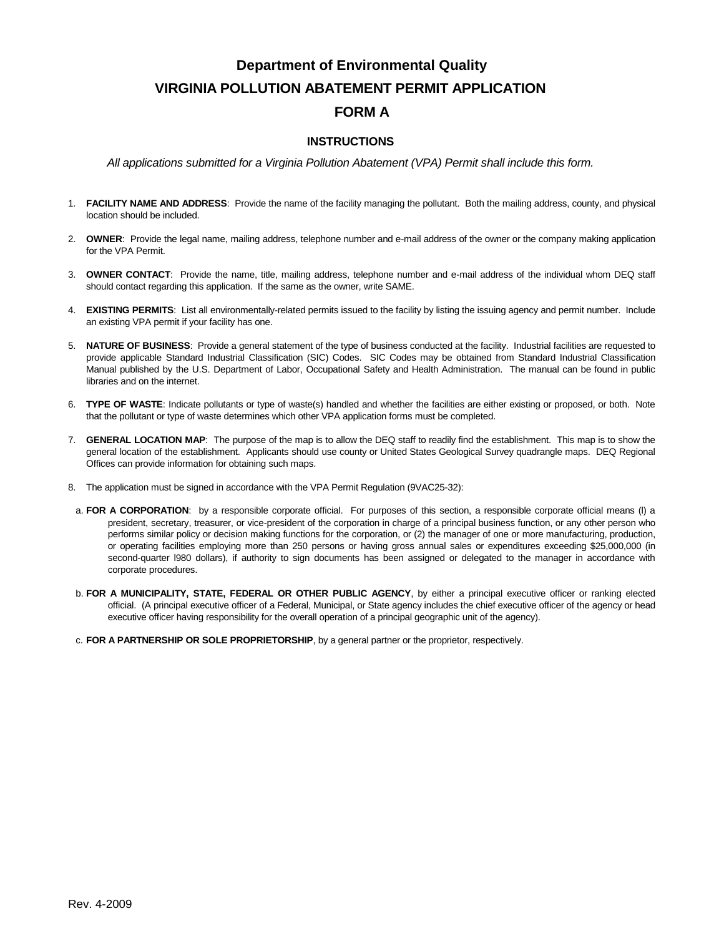# **Department of Environmental Quality VIRGINIA POLLUTION ABATEMENT PERMIT APPLICATION FORM A**

### **INSTRUCTIONS**

*All applications submitted for a Virginia Pollution Abatement (VPA) Permit shall include this form.*

- 1. **FACILITY NAME AND ADDRESS**: Provide the name of the facility managing the pollutant. Both the mailing address, county, and physical location should be included.
- 2. **OWNER**: Provide the legal name, mailing address, telephone number and e-mail address of the owner or the company making application for the VPA Permit.
- 3. **OWNER CONTACT**: Provide the name, title, mailing address, telephone number and e-mail address of the individual whom DEQ staff should contact regarding this application. If the same as the owner, write SAME.
- 4. **EXISTING PERMITS**: List all environmentally-related permits issued to the facility by listing the issuing agency and permit number. Include an existing VPA permit if your facility has one.
- 5. **NATURE OF BUSINESS**: Provide a general statement of the type of business conducted at the facility. Industrial facilities are requested to provide applicable Standard Industrial Classification (SIC) Codes. SIC Codes may be obtained from Standard Industrial Classification Manual published by the U.S. Department of Labor, Occupational Safety and Health Administration. The manual can be found in public libraries and on the internet.
- 6. **TYPE OF WASTE**: Indicate pollutants or type of waste(s) handled and whether the facilities are either existing or proposed, or both. Note that the pollutant or type of waste determines which other VPA application forms must be completed.
- 7. **GENERAL LOCATION MAP**: The purpose of the map is to allow the DEQ staff to readily find the establishment. This map is to show the general location of the establishment. Applicants should use county or United States Geological Survey quadrangle maps. DEQ Regional Offices can provide information for obtaining such maps.
- 8. The application must be signed in accordance with the VPA Permit Regulation (9VAC25-32):
- a. **FOR A CORPORATION**: by a responsible corporate official. For purposes of this section, a responsible corporate official means (l) a president, secretary, treasurer, or vice-president of the corporation in charge of a principal business function, or any other person who performs similar policy or decision making functions for the corporation, or (2) the manager of one or more manufacturing, production, or operating facilities employing more than 250 persons or having gross annual sales or expenditures exceeding \$25,000,000 (in second-quarter l980 dollars), if authority to sign documents has been assigned or delegated to the manager in accordance with corporate procedures.
- b. **FOR A MUNICIPALITY, STATE, FEDERAL OR OTHER PUBLIC AGENCY**, by either a principal executive officer or ranking elected official. (A principal executive officer of a Federal, Municipal, or State agency includes the chief executive officer of the agency or head executive officer having responsibility for the overall operation of a principal geographic unit of the agency).
- c. **FOR A PARTNERSHIP OR SOLE PROPRIETORSHIP**, by a general partner or the proprietor, respectively.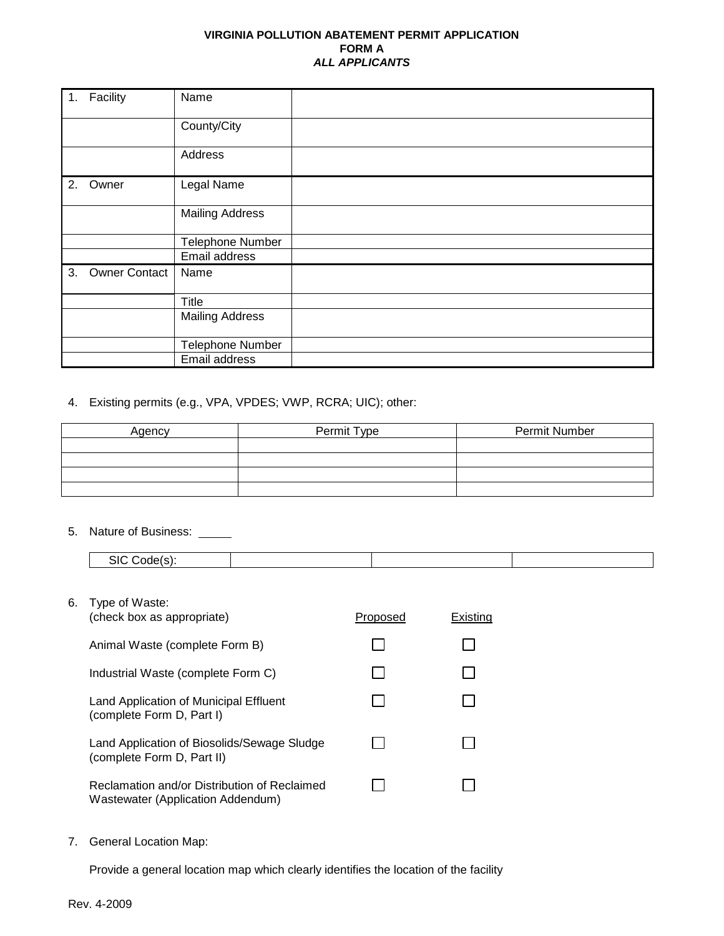### **VIRGINIA POLLUTION ABATEMENT PERMIT APPLICATION FORM A** *ALL APPLICANTS*

| 1. | Facility             | Name                    |
|----|----------------------|-------------------------|
|    |                      | County/City             |
|    |                      | Address                 |
| 2. | Owner                | Legal Name              |
|    |                      | <b>Mailing Address</b>  |
|    |                      | <b>Telephone Number</b> |
|    |                      | Email address           |
| 3. | <b>Owner Contact</b> | Name                    |
|    |                      | Title                   |
|    |                      | <b>Mailing Address</b>  |
|    |                      | Telephone Number        |
|    |                      | Email address           |

## 4. Existing permits (e.g., VPA, VPDES; VWP, RCRA; UIC); other:

| Agency | Permit Type | Permit Number |
|--------|-------------|---------------|
|        |             |               |
|        |             |               |
|        |             |               |
|        |             |               |

#### 5. Nature of Business:

| 516 |  |  |
|-----|--|--|
|     |  |  |

| (check box as appropriate)                                                        | Proposed | Existina |
|-----------------------------------------------------------------------------------|----------|----------|
| Animal Waste (complete Form B)                                                    |          |          |
| Industrial Waste (complete Form C)                                                |          |          |
| Land Application of Municipal Effluent<br>(complete Form D, Part I)               |          |          |
| Land Application of Biosolids/Sewage Sludge<br>(complete Form D, Part II)         |          |          |
| Reclamation and/or Distribution of Reclaimed<br>Wastewater (Application Addendum) |          |          |

7. General Location Map:

Provide a general location map which clearly identifies the location of the facility